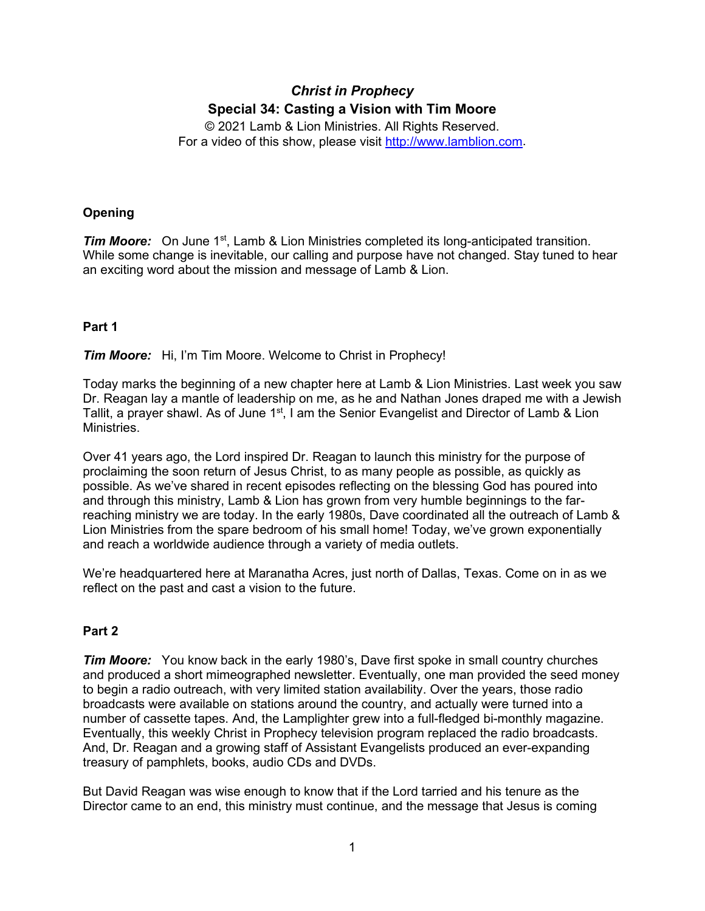# *Christ in Prophecy* **Special 34: Casting a Vision with Tim Moore**

© 2021 Lamb & Lion Ministries. All Rights Reserved. For a video of this show, please visit [http://www.lamblion.com.](http://www.lamblion.com/)

## **Opening**

*Tim Moore:* On June 1<sup>st</sup>, Lamb & Lion Ministries completed its long-anticipated transition. While some change is inevitable, our calling and purpose have not changed. Stay tuned to hear an exciting word about the mission and message of Lamb & Lion.

## **Part 1**

## *Tim Moore:* Hi, I'm Tim Moore. Welcome to Christ in Prophecy!

Today marks the beginning of a new chapter here at Lamb & Lion Ministries. Last week you saw Dr. Reagan lay a mantle of leadership on me, as he and Nathan Jones draped me with a Jewish Tallit, a prayer shawl. As of June 1<sup>st</sup>, I am the Senior Evangelist and Director of Lamb & Lion Ministries.

Over 41 years ago, the Lord inspired Dr. Reagan to launch this ministry for the purpose of proclaiming the soon return of Jesus Christ, to as many people as possible, as quickly as possible. As we've shared in recent episodes reflecting on the blessing God has poured into and through this ministry, Lamb & Lion has grown from very humble beginnings to the farreaching ministry we are today. In the early 1980s, Dave coordinated all the outreach of Lamb & Lion Ministries from the spare bedroom of his small home! Today, we've grown exponentially and reach a worldwide audience through a variety of media outlets.

We're headquartered here at Maranatha Acres, just north of Dallas, Texas. Come on in as we reflect on the past and cast a vision to the future.

## **Part 2**

*Tim Moore:* You know back in the early 1980's, Dave first spoke in small country churches and produced a short mimeographed newsletter. Eventually, one man provided the seed money to begin a radio outreach, with very limited station availability. Over the years, those radio broadcasts were available on stations around the country, and actually were turned into a number of cassette tapes. And, the Lamplighter grew into a full-fledged bi-monthly magazine. Eventually, this weekly Christ in Prophecy television program replaced the radio broadcasts. And, Dr. Reagan and a growing staff of Assistant Evangelists produced an ever-expanding treasury of pamphlets, books, audio CDs and DVDs.

But David Reagan was wise enough to know that if the Lord tarried and his tenure as the Director came to an end, this ministry must continue, and the message that Jesus is coming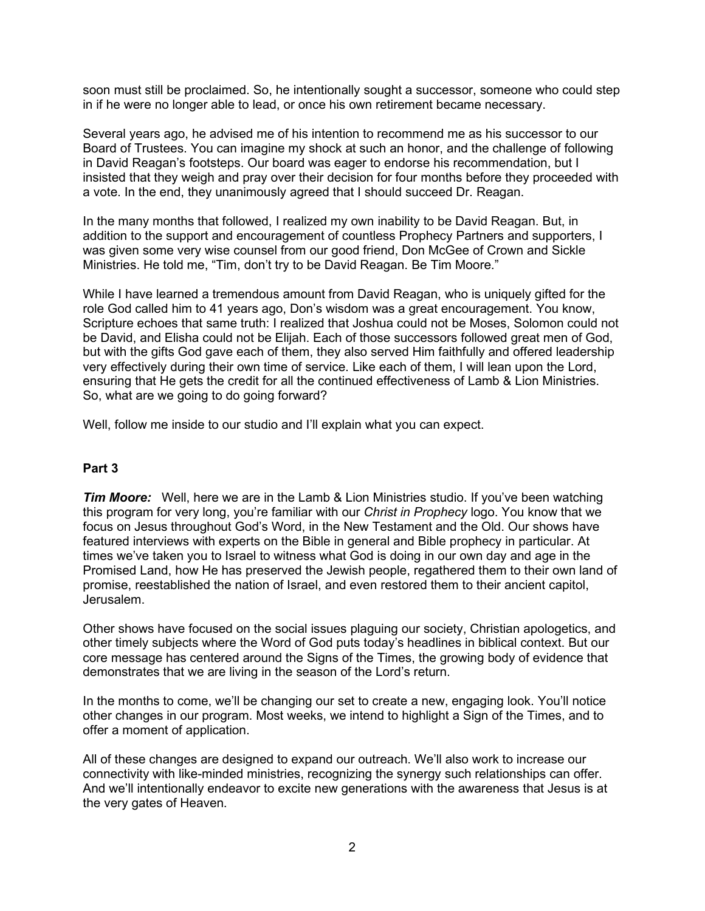soon must still be proclaimed. So, he intentionally sought a successor, someone who could step in if he were no longer able to lead, or once his own retirement became necessary.

Several years ago, he advised me of his intention to recommend me as his successor to our Board of Trustees. You can imagine my shock at such an honor, and the challenge of following in David Reagan's footsteps. Our board was eager to endorse his recommendation, but I insisted that they weigh and pray over their decision for four months before they proceeded with a vote. In the end, they unanimously agreed that I should succeed Dr. Reagan.

In the many months that followed, I realized my own inability to be David Reagan. But, in addition to the support and encouragement of countless Prophecy Partners and supporters, I was given some very wise counsel from our good friend, Don McGee of Crown and Sickle Ministries. He told me, "Tim, don't try to be David Reagan. Be Tim Moore."

While I have learned a tremendous amount from David Reagan, who is uniquely gifted for the role God called him to 41 years ago, Don's wisdom was a great encouragement. You know, Scripture echoes that same truth: I realized that Joshua could not be Moses, Solomon could not be David, and Elisha could not be Elijah. Each of those successors followed great men of God, but with the gifts God gave each of them, they also served Him faithfully and offered leadership very effectively during their own time of service. Like each of them, I will lean upon the Lord, ensuring that He gets the credit for all the continued effectiveness of Lamb & Lion Ministries. So, what are we going to do going forward?

Well, follow me inside to our studio and I'll explain what you can expect.

## **Part 3**

*Tim Moore:* Well, here we are in the Lamb & Lion Ministries studio. If you've been watching this program for very long, you're familiar with our *Christ in Prophecy* logo. You know that we focus on Jesus throughout God's Word, in the New Testament and the Old. Our shows have featured interviews with experts on the Bible in general and Bible prophecy in particular. At times we've taken you to Israel to witness what God is doing in our own day and age in the Promised Land, how He has preserved the Jewish people, regathered them to their own land of promise, reestablished the nation of Israel, and even restored them to their ancient capitol, Jerusalem.

Other shows have focused on the social issues plaguing our society, Christian apologetics, and other timely subjects where the Word of God puts today's headlines in biblical context. But our core message has centered around the Signs of the Times, the growing body of evidence that demonstrates that we are living in the season of the Lord's return.

In the months to come, we'll be changing our set to create a new, engaging look. You'll notice other changes in our program. Most weeks, we intend to highlight a Sign of the Times, and to offer a moment of application.

All of these changes are designed to expand our outreach. We'll also work to increase our connectivity with like-minded ministries, recognizing the synergy such relationships can offer. And we'll intentionally endeavor to excite new generations with the awareness that Jesus is at the very gates of Heaven.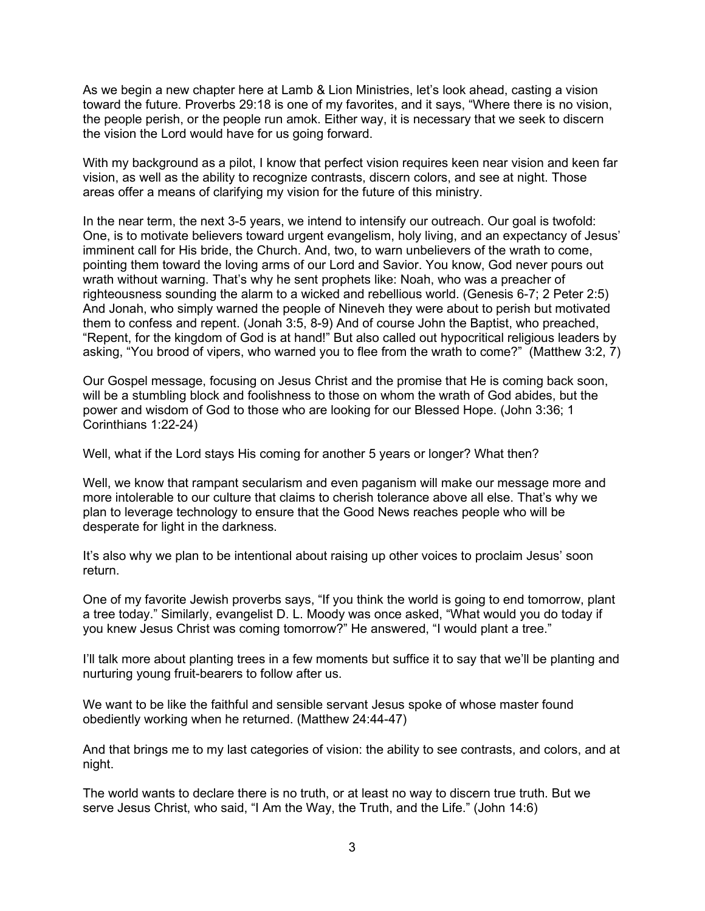As we begin a new chapter here at Lamb & Lion Ministries, let's look ahead, casting a vision toward the future. Proverbs 29:18 is one of my favorites, and it says, "Where there is no vision, the people perish, or the people run amok. Either way, it is necessary that we seek to discern the vision the Lord would have for us going forward.

With my background as a pilot, I know that perfect vision requires keen near vision and keen far vision, as well as the ability to recognize contrasts, discern colors, and see at night. Those areas offer a means of clarifying my vision for the future of this ministry.

In the near term, the next 3-5 years, we intend to intensify our outreach. Our goal is twofold: One, is to motivate believers toward urgent evangelism, holy living, and an expectancy of Jesus' imminent call for His bride, the Church. And, two, to warn unbelievers of the wrath to come, pointing them toward the loving arms of our Lord and Savior. You know, God never pours out wrath without warning. That's why he sent prophets like: Noah, who was a preacher of righteousness sounding the alarm to a wicked and rebellious world. (Genesis 6-7; 2 Peter 2:5) And Jonah, who simply warned the people of Nineveh they were about to perish but motivated them to confess and repent. (Jonah 3:5, 8-9) And of course John the Baptist, who preached, "Repent, for the kingdom of God is at hand!" But also called out hypocritical religious leaders by asking, "You brood of vipers, who warned you to flee from the wrath to come?" (Matthew 3:2, 7)

Our Gospel message, focusing on Jesus Christ and the promise that He is coming back soon, will be a stumbling block and foolishness to those on whom the wrath of God abides, but the power and wisdom of God to those who are looking for our Blessed Hope. (John 3:36; 1 Corinthians 1:22-24)

Well, what if the Lord stays His coming for another 5 years or longer? What then?

Well, we know that rampant secularism and even paganism will make our message more and more intolerable to our culture that claims to cherish tolerance above all else. That's why we plan to leverage technology to ensure that the Good News reaches people who will be desperate for light in the darkness.

It's also why we plan to be intentional about raising up other voices to proclaim Jesus' soon return.

One of my favorite Jewish proverbs says, "If you think the world is going to end tomorrow, plant a tree today." Similarly, evangelist D. L. Moody was once asked, "What would you do today if you knew Jesus Christ was coming tomorrow?" He answered, "I would plant a tree."

I'll talk more about planting trees in a few moments but suffice it to say that we'll be planting and nurturing young fruit-bearers to follow after us.

We want to be like the faithful and sensible servant Jesus spoke of whose master found obediently working when he returned. (Matthew 24:44-47)

And that brings me to my last categories of vision: the ability to see contrasts, and colors, and at night.

The world wants to declare there is no truth, or at least no way to discern true truth. But we serve Jesus Christ, who said, "I Am the Way, the Truth, and the Life." (John 14:6)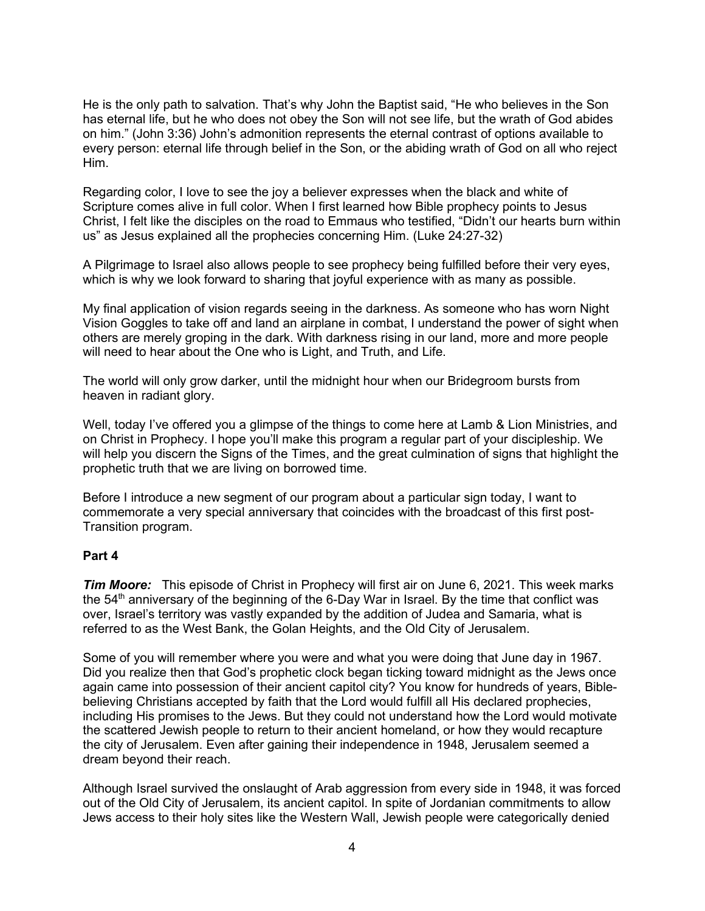He is the only path to salvation. That's why John the Baptist said, "He who believes in the Son has eternal life, but he who does not obey the Son will not see life, but the wrath of God abides on him." (John 3:36) John's admonition represents the eternal contrast of options available to every person: eternal life through belief in the Son, or the abiding wrath of God on all who reject Him.

Regarding color, I love to see the joy a believer expresses when the black and white of Scripture comes alive in full color. When I first learned how Bible prophecy points to Jesus Christ, I felt like the disciples on the road to Emmaus who testified, "Didn't our hearts burn within us" as Jesus explained all the prophecies concerning Him. (Luke 24:27-32)

A Pilgrimage to Israel also allows people to see prophecy being fulfilled before their very eyes, which is why we look forward to sharing that joyful experience with as many as possible.

My final application of vision regards seeing in the darkness. As someone who has worn Night Vision Goggles to take off and land an airplane in combat, I understand the power of sight when others are merely groping in the dark. With darkness rising in our land, more and more people will need to hear about the One who is Light, and Truth, and Life.

The world will only grow darker, until the midnight hour when our Bridegroom bursts from heaven in radiant glory.

Well, today I've offered you a glimpse of the things to come here at Lamb & Lion Ministries, and on Christ in Prophecy. I hope you'll make this program a regular part of your discipleship. We will help you discern the Signs of the Times, and the great culmination of signs that highlight the prophetic truth that we are living on borrowed time.

Before I introduce a new segment of our program about a particular sign today, I want to commemorate a very special anniversary that coincides with the broadcast of this first post-Transition program.

#### **Part 4**

*Tim Moore:* This episode of Christ in Prophecy will first air on June 6, 2021. This week marks the 54<sup>th</sup> anniversary of the beginning of the 6-Day War in Israel. By the time that conflict was over, Israel's territory was vastly expanded by the addition of Judea and Samaria, what is referred to as the West Bank, the Golan Heights, and the Old City of Jerusalem.

Some of you will remember where you were and what you were doing that June day in 1967. Did you realize then that God's prophetic clock began ticking toward midnight as the Jews once again came into possession of their ancient capitol city? You know for hundreds of years, Biblebelieving Christians accepted by faith that the Lord would fulfill all His declared prophecies, including His promises to the Jews. But they could not understand how the Lord would motivate the scattered Jewish people to return to their ancient homeland, or how they would recapture the city of Jerusalem. Even after gaining their independence in 1948, Jerusalem seemed a dream beyond their reach.

Although Israel survived the onslaught of Arab aggression from every side in 1948, it was forced out of the Old City of Jerusalem, its ancient capitol. In spite of Jordanian commitments to allow Jews access to their holy sites like the Western Wall, Jewish people were categorically denied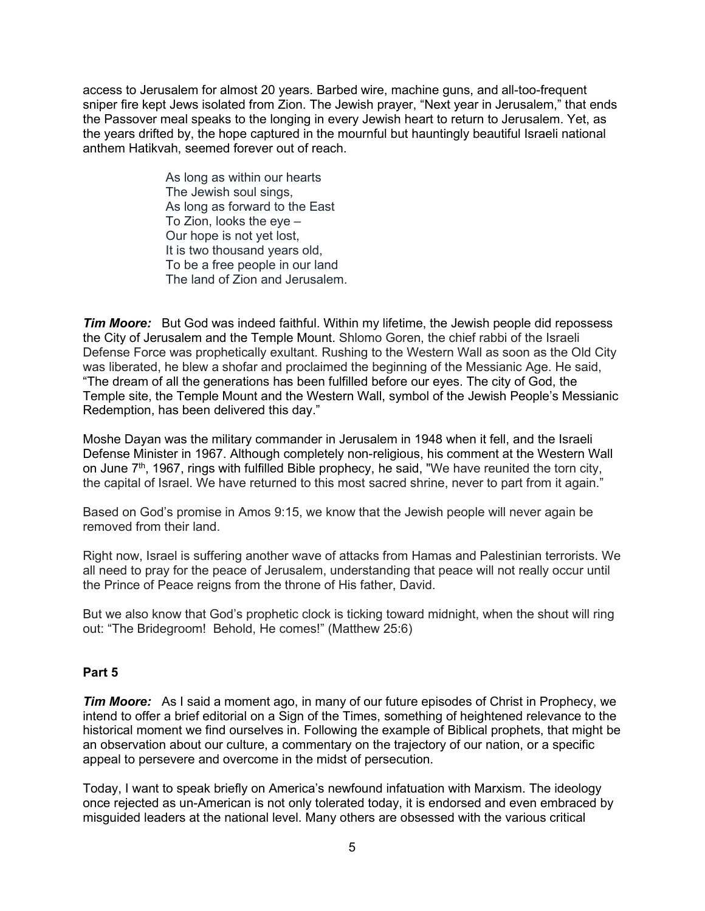access to Jerusalem for almost 20 years. Barbed wire, machine guns, and all-too-frequent sniper fire kept Jews isolated from Zion. The Jewish prayer, "Next year in Jerusalem," that ends the Passover meal speaks to the longing in every Jewish heart to return to Jerusalem. Yet, as the years drifted by, the hope captured in the mournful but hauntingly beautiful Israeli national anthem Hatikvah, seemed forever out of reach.

> As long as within our hearts The Jewish soul sings, As long as forward to the East To Zion, looks the eye – Our hope is not yet lost, It is two thousand years old, To be a free people in our land The land of Zion and Jerusalem.

**Tim Moore:** But God was indeed faithful. Within my lifetime, the Jewish people did repossess the City of Jerusalem and the Temple Mount. Shlomo Goren, the chief rabbi of the Israeli Defense Force was prophetically exultant. Rushing to the Western Wall as soon as the Old City was liberated, he blew a shofar and proclaimed the beginning of the Messianic Age. He said, "The dream of all the generations has been fulfilled before our eyes. The city of God, the Temple site, the Temple Mount and the Western Wall, symbol of the Jewish People's Messianic Redemption, has been delivered this day."

Moshe Dayan was the military commander in Jerusalem in 1948 when it fell, and the Israeli Defense Minister in 1967. Although completely non-religious, his comment at the Western Wall on June 7<sup>th</sup>, 1967, rings with fulfilled Bible prophecy, he said, "We have reunited the torn city, the capital of Israel. We have returned to this most sacred shrine, never to part from it again."

Based on God's promise in Amos 9:15, we know that the Jewish people will never again be removed from their land.

Right now, Israel is suffering another wave of attacks from Hamas and Palestinian terrorists. We all need to pray for the peace of Jerusalem, understanding that peace will not really occur until the Prince of Peace reigns from the throne of His father, David.

But we also know that God's prophetic clock is ticking toward midnight, when the shout will ring out: "The Bridegroom! Behold, He comes!" (Matthew 25:6)

## **Part 5**

*Tim Moore:* As I said a moment ago, in many of our future episodes of Christ in Prophecy, we intend to offer a brief editorial on a Sign of the Times, something of heightened relevance to the historical moment we find ourselves in. Following the example of Biblical prophets, that might be an observation about our culture, a commentary on the trajectory of our nation, or a specific appeal to persevere and overcome in the midst of persecution.

Today, I want to speak briefly on America's newfound infatuation with Marxism. The ideology once rejected as un-American is not only tolerated today, it is endorsed and even embraced by misguided leaders at the national level. Many others are obsessed with the various critical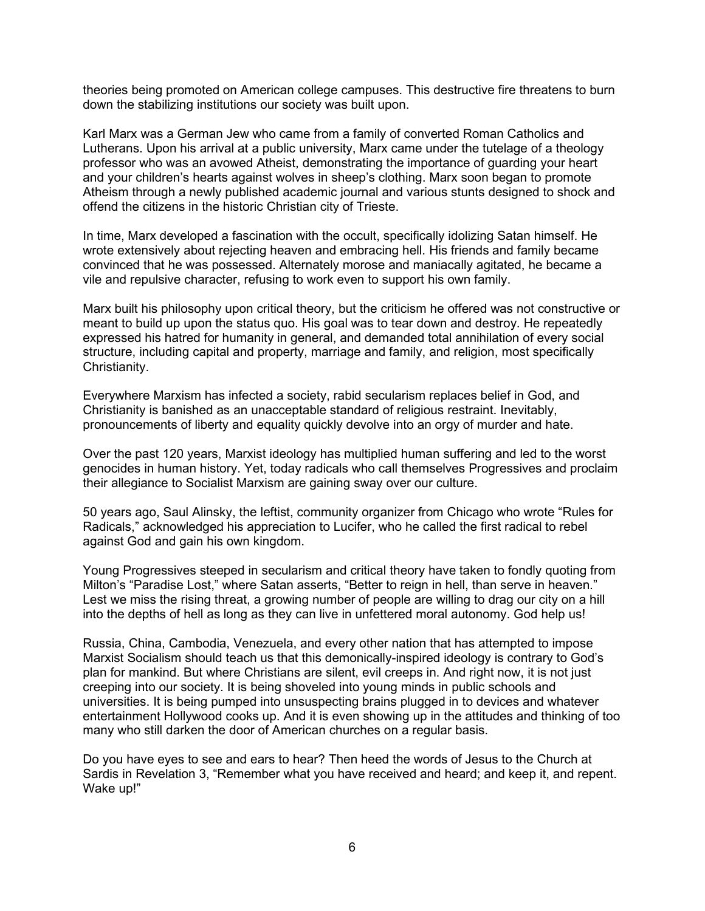theories being promoted on American college campuses. This destructive fire threatens to burn down the stabilizing institutions our society was built upon.

Karl Marx was a German Jew who came from a family of converted Roman Catholics and Lutherans. Upon his arrival at a public university, Marx came under the tutelage of a theology professor who was an avowed Atheist, demonstrating the importance of guarding your heart and your children's hearts against wolves in sheep's clothing. Marx soon began to promote Atheism through a newly published academic journal and various stunts designed to shock and offend the citizens in the historic Christian city of Trieste.

In time, Marx developed a fascination with the occult, specifically idolizing Satan himself. He wrote extensively about rejecting heaven and embracing hell. His friends and family became convinced that he was possessed. Alternately morose and maniacally agitated, he became a vile and repulsive character, refusing to work even to support his own family.

Marx built his philosophy upon critical theory, but the criticism he offered was not constructive or meant to build up upon the status quo. His goal was to tear down and destroy. He repeatedly expressed his hatred for humanity in general, and demanded total annihilation of every social structure, including capital and property, marriage and family, and religion, most specifically Christianity.

Everywhere Marxism has infected a society, rabid secularism replaces belief in God, and Christianity is banished as an unacceptable standard of religious restraint. Inevitably, pronouncements of liberty and equality quickly devolve into an orgy of murder and hate.

Over the past 120 years, Marxist ideology has multiplied human suffering and led to the worst genocides in human history. Yet, today radicals who call themselves Progressives and proclaim their allegiance to Socialist Marxism are gaining sway over our culture.

50 years ago, Saul Alinsky, the leftist, community organizer from Chicago who wrote "Rules for Radicals," acknowledged his appreciation to Lucifer, who he called the first radical to rebel against God and gain his own kingdom.

Young Progressives steeped in secularism and critical theory have taken to fondly quoting from Milton's "Paradise Lost," where Satan asserts, "Better to reign in hell, than serve in heaven." Lest we miss the rising threat, a growing number of people are willing to drag our city on a hill into the depths of hell as long as they can live in unfettered moral autonomy. God help us!

Russia, China, Cambodia, Venezuela, and every other nation that has attempted to impose Marxist Socialism should teach us that this demonically-inspired ideology is contrary to God's plan for mankind. But where Christians are silent, evil creeps in. And right now, it is not just creeping into our society. It is being shoveled into young minds in public schools and universities. It is being pumped into unsuspecting brains plugged in to devices and whatever entertainment Hollywood cooks up. And it is even showing up in the attitudes and thinking of too many who still darken the door of American churches on a regular basis.

Do you have eyes to see and ears to hear? Then heed the words of Jesus to the Church at Sardis in Revelation 3, "Remember what you have received and heard; and keep it, and repent. Wake up!"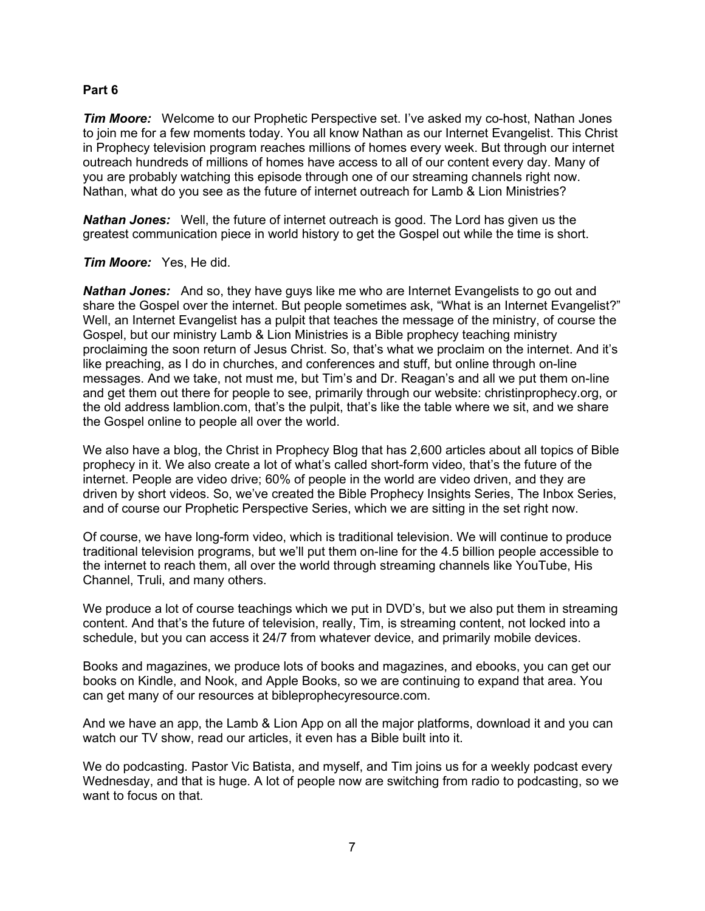#### **Part 6**

*Tim Moore:* Welcome to our Prophetic Perspective set. I've asked my co-host, Nathan Jones to join me for a few moments today. You all know Nathan as our Internet Evangelist. This Christ in Prophecy television program reaches millions of homes every week. But through our internet outreach hundreds of millions of homes have access to all of our content every day. Many of you are probably watching this episode through one of our streaming channels right now. Nathan, what do you see as the future of internet outreach for Lamb & Lion Ministries?

*Nathan Jones:* Well, the future of internet outreach is good. The Lord has given us the greatest communication piece in world history to get the Gospel out while the time is short.

#### *Tim Moore:* Yes, He did.

*Nathan Jones:* And so, they have guys like me who are Internet Evangelists to go out and share the Gospel over the internet. But people sometimes ask, "What is an Internet Evangelist?" Well, an Internet Evangelist has a pulpit that teaches the message of the ministry, of course the Gospel, but our ministry Lamb & Lion Ministries is a Bible prophecy teaching ministry proclaiming the soon return of Jesus Christ. So, that's what we proclaim on the internet. And it's like preaching, as I do in churches, and conferences and stuff, but online through on-line messages. And we take, not must me, but Tim's and Dr. Reagan's and all we put them on-line and get them out there for people to see, primarily through our website: christinprophecy.org, or the old address lamblion.com, that's the pulpit, that's like the table where we sit, and we share the Gospel online to people all over the world.

We also have a blog, the Christ in Prophecy Blog that has 2,600 articles about all topics of Bible prophecy in it. We also create a lot of what's called short-form video, that's the future of the internet. People are video drive; 60% of people in the world are video driven, and they are driven by short videos. So, we've created the Bible Prophecy Insights Series, The Inbox Series, and of course our Prophetic Perspective Series, which we are sitting in the set right now.

Of course, we have long-form video, which is traditional television. We will continue to produce traditional television programs, but we'll put them on-line for the 4.5 billion people accessible to the internet to reach them, all over the world through streaming channels like YouTube, His Channel, Truli, and many others.

We produce a lot of course teachings which we put in DVD's, but we also put them in streaming content. And that's the future of television, really, Tim, is streaming content, not locked into a schedule, but you can access it 24/7 from whatever device, and primarily mobile devices.

Books and magazines, we produce lots of books and magazines, and ebooks, you can get our books on Kindle, and Nook, and Apple Books, so we are continuing to expand that area. You can get many of our resources at bibleprophecyresource.com.

And we have an app, the Lamb & Lion App on all the major platforms, download it and you can watch our TV show, read our articles, it even has a Bible built into it.

We do podcasting. Pastor Vic Batista, and myself, and Tim joins us for a weekly podcast every Wednesday, and that is huge. A lot of people now are switching from radio to podcasting, so we want to focus on that.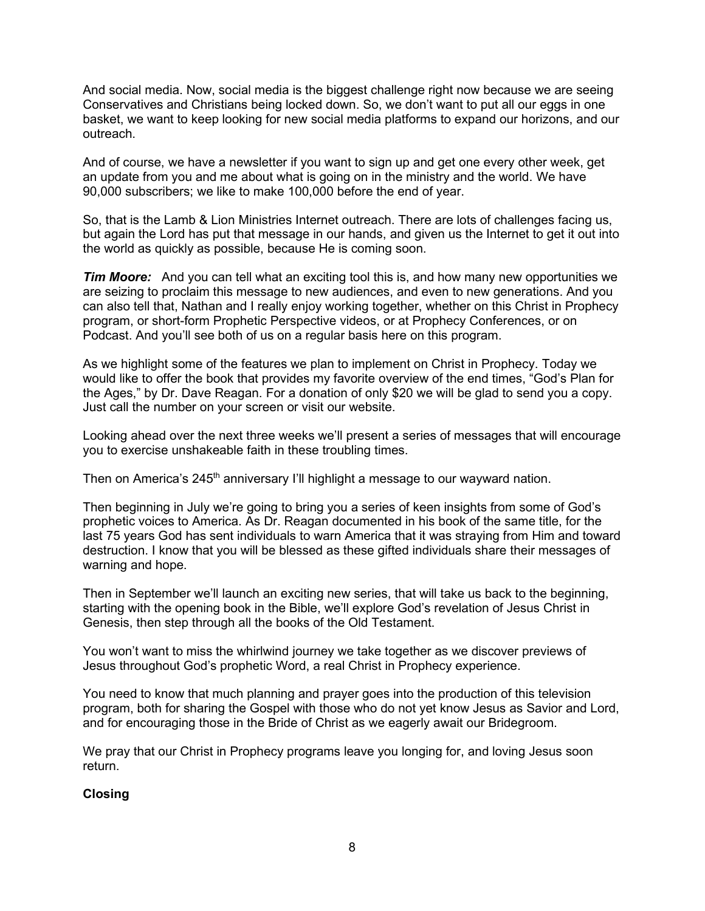And social media. Now, social media is the biggest challenge right now because we are seeing Conservatives and Christians being locked down. So, we don't want to put all our eggs in one basket, we want to keep looking for new social media platforms to expand our horizons, and our outreach.

And of course, we have a newsletter if you want to sign up and get one every other week, get an update from you and me about what is going on in the ministry and the world. We have 90,000 subscribers; we like to make 100,000 before the end of year.

So, that is the Lamb & Lion Ministries Internet outreach. There are lots of challenges facing us, but again the Lord has put that message in our hands, and given us the Internet to get it out into the world as quickly as possible, because He is coming soon.

*Tim Moore:* And you can tell what an exciting tool this is, and how many new opportunities we are seizing to proclaim this message to new audiences, and even to new generations. And you can also tell that, Nathan and I really enjoy working together, whether on this Christ in Prophecy program, or short-form Prophetic Perspective videos, or at Prophecy Conferences, or on Podcast. And you'll see both of us on a regular basis here on this program.

As we highlight some of the features we plan to implement on Christ in Prophecy. Today we would like to offer the book that provides my favorite overview of the end times, "God's Plan for the Ages," by Dr. Dave Reagan. For a donation of only \$20 we will be glad to send you a copy. Just call the number on your screen or visit our website.

Looking ahead over the next three weeks we'll present a series of messages that will encourage you to exercise unshakeable faith in these troubling times.

Then on America's  $245<sup>th</sup>$  anniversary I'll highlight a message to our wayward nation.

Then beginning in July we're going to bring you a series of keen insights from some of God's prophetic voices to America. As Dr. Reagan documented in his book of the same title, for the last 75 years God has sent individuals to warn America that it was straying from Him and toward destruction. I know that you will be blessed as these gifted individuals share their messages of warning and hope.

Then in September we'll launch an exciting new series, that will take us back to the beginning, starting with the opening book in the Bible, we'll explore God's revelation of Jesus Christ in Genesis, then step through all the books of the Old Testament.

You won't want to miss the whirlwind journey we take together as we discover previews of Jesus throughout God's prophetic Word, a real Christ in Prophecy experience.

You need to know that much planning and prayer goes into the production of this television program, both for sharing the Gospel with those who do not yet know Jesus as Savior and Lord, and for encouraging those in the Bride of Christ as we eagerly await our Bridegroom.

We pray that our Christ in Prophecy programs leave you longing for, and loving Jesus soon return.

#### **Closing**